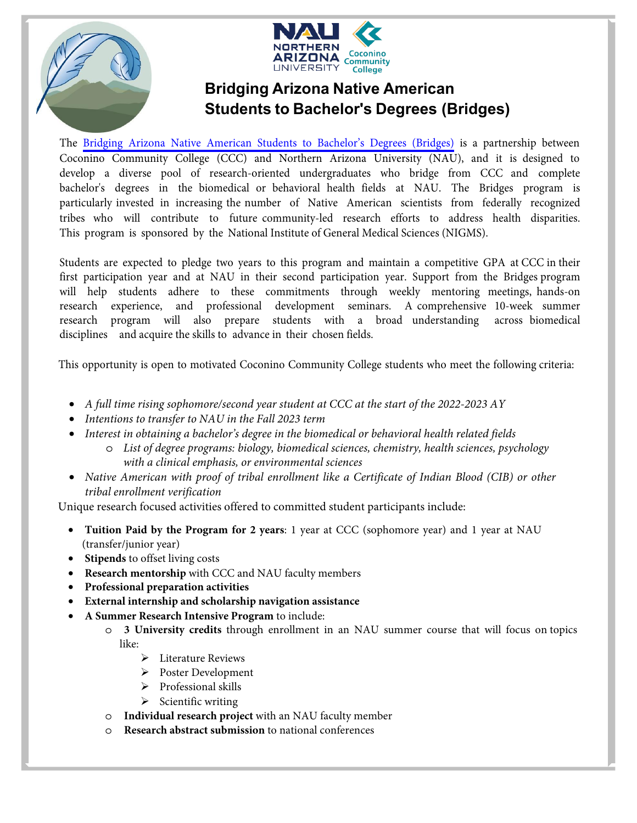



The [Bridging Arizona Native American Students to Bachelor's Degrees \(Bridges\)](https://nau.edu/bridges/) is a partnership between Coconino Community College (CCC) and Northern Arizona University (NAU), and it is designed to develop a diverse pool of research-oriented undergraduates who bridge from CCC and complete bachelor's degrees in the biomedical or behavioral health fields at NAU. The Bridges program is particularly invested in increasing the number of Native American scientists from federally recognized tribes who will contribute to future community-led research efforts to address health disparities. This program is sponsored by the National Institute of General Medical Sciences (NIGMS).

Students are expected to pledge two years to this program and maintain a competitive GPA at CCC in their first participation year and at NAU in their second participation year. Support from the Bridges program will help students adhere to these commitments through weekly mentoring meetings, hands-on research experience, and professional development seminars. A comprehensive 10-week summer research program will also prepare students with a broad understanding across biomedical disciplines and acquire the skills to advance in their chosen fields.

This opportunity is open to motivated Coconino Community College students who meet the following criteria:

- *A full time rising sophomore/second year student at CCC at the start of the 2022-2023 AY*
- *Intentions to transfer to NAU in the Fall 2023 term*
- *Interest in obtaining a bachelor's degree in the biomedical or behavioral health related fields*
	- o *List of degree programs: biology, biomedical sciences, chemistry, health sciences, psychology with a clinical emphasis, or environmental sciences*
- *Native American with proof of tribal enrollment like a Certificate of Indian Blood (CIB) or other tribal enrollment verification*

Unique research focused activities offered to committed student participants include:

- **Tuition Paid by the Program for 2 years**: 1 year at CCC (sophomore year) and 1 year at NAU (transfer/junior year)
- **Stipends** to offset living costs
- **Research mentorship** with CCC and NAU faculty members
- **Professional preparation activities**
- **External internship and scholarship navigation assistance**
- **A Summer Research Intensive Program** to include:
	- o **3 University credits** through enrollment in an NAU summer course that will focus on topics like:
		- **►** Literature Reviews
		- Poster Development
		- Professional skills
		- $\triangleright$  Scientific writing
		- o **Individual research project** with an NAU faculty member
		- **Research abstract submission** to national conferences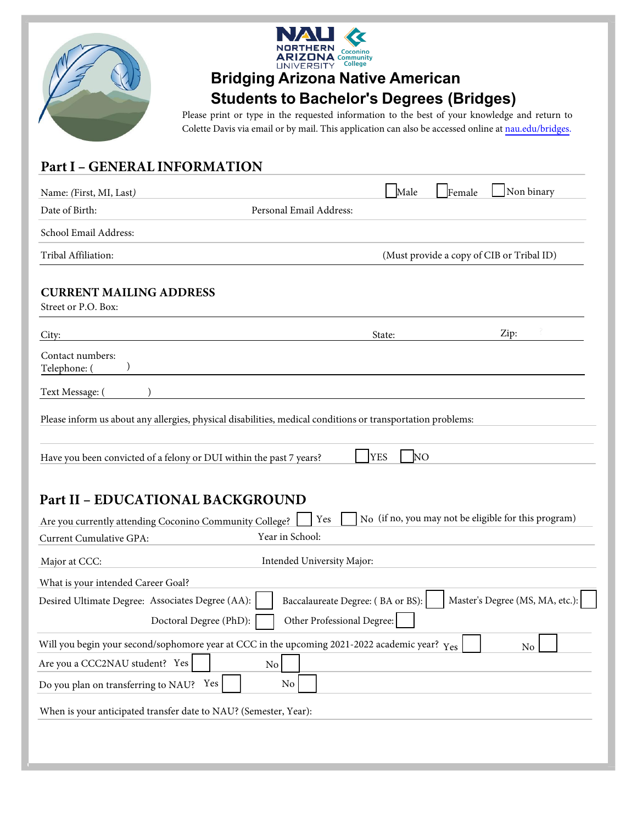



Please print or type in the requested information to the best of your knowledge and return to Colette Davis via email or by mail. This application can also be accessed online at [nau.edu/bridges](https://nau.edu/bridges/).

#### **Part I - GENERAL INFORMATION**

| Name: (First, MI, Last)                                                                                                                                 | Male                              | Non binary<br>Female                                 |
|---------------------------------------------------------------------------------------------------------------------------------------------------------|-----------------------------------|------------------------------------------------------|
| Date of Birth:<br>Personal Email Address:                                                                                                               |                                   |                                                      |
| School Email Address:                                                                                                                                   |                                   |                                                      |
| Tribal Affiliation:                                                                                                                                     |                                   | (Must provide a copy of CIB or Tribal ID)            |
| <b>CURRENT MAILING ADDRESS</b><br>Street or P.O. Box:                                                                                                   |                                   |                                                      |
| City:                                                                                                                                                   | State:                            | Zip:                                                 |
| Contact numbers:<br>Telephone: (                                                                                                                        |                                   |                                                      |
| Text Message: (                                                                                                                                         |                                   |                                                      |
| Please inform us about any allergies, physical disabilities, medical conditions or transportation problems:                                             |                                   |                                                      |
| Have you been convicted of a felony or DUI within the past 7 years?                                                                                     | <b>YES</b><br>N <sub>O</sub>      |                                                      |
| <b>Part II - EDUCATIONAL BACKGROUND</b><br>Yes<br>Are you currently attending Coconino Community College?<br>Year in School:<br>Current Cumulative GPA: |                                   | No (if no, you may not be eligible for this program) |
| Intended University Major:<br>Major at CCC:                                                                                                             |                                   |                                                      |
| What is your intended Career Goal?                                                                                                                      |                                   |                                                      |
| Desired Ultimate Degree: Associates Degree (AA):<br>Doctoral Degree (PhD):<br>Other Professional Degree:                                                | Baccalaureate Degree: (BA or BS): | Master's Degree (MS, MA, etc.):                      |
| Will you begin your second/sophomore year at CCC in the upcoming 2021-2022 academic year? $\gamma_{\rm e s}$                                            |                                   | No                                                   |
| Are you a CCC2NAU student? Yes<br>$\overline{N_{0}}$                                                                                                    |                                   |                                                      |
| $\rm No$<br>Do you plan on transferring to NAU? Yes                                                                                                     |                                   |                                                      |
| When is your anticipated transfer date to NAU? (Semester, Year):                                                                                        |                                   |                                                      |
|                                                                                                                                                         |                                   |                                                      |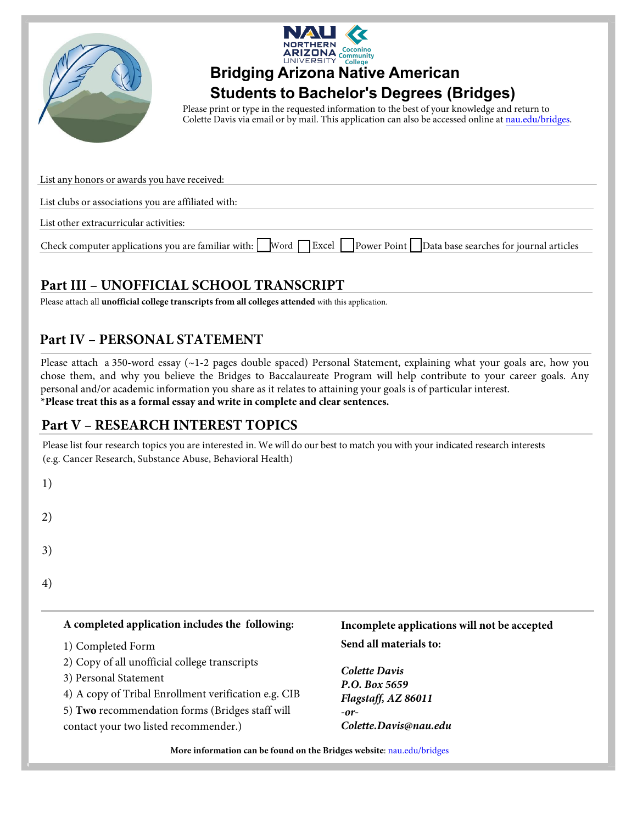



Please print or type in the requested information to the best of your knowledge and return to Colette Davis via email or by mail. This application can also be accessed online at [nau.edu/bridges.](https://nau.edu/bridges/)

| List any honors or awards you have received:                                                                                           |
|----------------------------------------------------------------------------------------------------------------------------------------|
|                                                                                                                                        |
| List clubs or associations you are affiliated with:                                                                                    |
|                                                                                                                                        |
| List other extracurricular activities:                                                                                                 |
|                                                                                                                                        |
| Check computer applications you are familiar with: Word $\Box$ Excel $\Box$ Power Point $\Box$ Data base searches for journal articles |

### **1**Bart III - UNOFFICIAL SCHOOL TRANSCRIPT

Please attach all *unofficial college transcripts from all colleges attended* with this application.

### **Part IV - PERSONAL STATEMENT**

Please attach a 350-word essay  $(-1-2)$  pages double spaced) Personal Statement, explaining what your goals are, how you chose them, and why you believe the Bridges to Baccalaureate Program will help contribute to your career goals. Any personal and/or academic information you share as it relates to attaining your goals is of particular interest. **\*Please treat this as a formal essay and write in complete and clear sentences.**

#### **Part V - RESEARCH INTEREST TOPICS**

Please list four research topics you are interested in. We will do our best to match you with your indicated research interests (e.g. Cancer Research, Substance Abuse, Behavioral Health)

| × |              |
|---|--------------|
|   | I<br>ĉ<br>۰. |

2)

3)

4)

#### A completed application includes the following:

- 1) Completed Form
- 2) Copy of all unofficial college transcripts
- 3) Personal Statement
- 4) A copy of Tribal Enrollment verification e.g. CIB
- 5) Two recommendation forms (Bridges staff will

contact your two listed recommender.)

#### Incomplete applications will not be accepted **Send all materials to:**

*Colette Davis* **P.O.** Box 5659  $Flagstaff, AZ 86011$  $-$ or- $C$ olette.Davis@nau.edu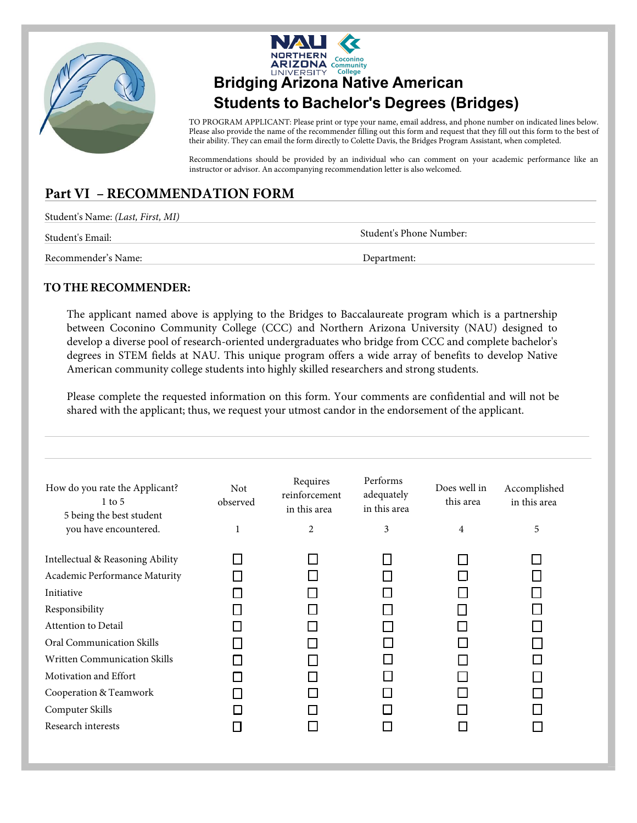



TO PROGRAM APPLICANT: Please print or type your name, email address, and phone number on indicated lines below. Please also provide the name of the recommender filling out this form and request that they fill out this form to the best of their ability. They can email the form directly to Colette Davis, the Bridges Program Assistant, when completed.

Recommendations should be provided by an individual who can comment on your academic performance like an instructor or advisor. An accompanying recommendation letter is also welcomed.

### **Part VI - RECOMMENDATION FORM**

| Student's Name: (Last, First, MI) |                         |
|-----------------------------------|-------------------------|
| Student's Email:                  | Student's Phone Number: |
| Recommender's Name:               | Department:             |

#### **TO THE RECOMMENDER:**

The applicant named above is applying to the [Bridges to Ba](https://nau.edu/bridges/)ccalaureate program which is a partnership between Coconino Community College (CCC) and Northern Arizona University (NAU) designed to develop a diverse pool of research-oriented undergraduates who bridge from CCC and complete bachelor's degrees in STEM fields at NAU. This unique program offers a wide array of benefits to develop Native American community college students into highly skilled researchers and strong students.

Please complete the requested information on this form. Your comments are confidential and will not be shared with the applicant; thus, we request your utmost candor in the endorsement of the applicant.

| How do you rate the Applicant?<br>$1$ to 5<br>5 being the best student | <b>Not</b><br>observed | Requires<br>reinforcement<br>in this area | Performs<br>adequately<br>in this area | Does well in<br>this area | Accomplished<br>in this area |
|------------------------------------------------------------------------|------------------------|-------------------------------------------|----------------------------------------|---------------------------|------------------------------|
| you have encountered.                                                  | 1                      | $\overline{c}$                            | 3                                      | 4                         | 5                            |
| Intellectual & Reasoning Ability                                       |                        |                                           |                                        |                           |                              |
| Academic Performance Maturity                                          |                        |                                           |                                        |                           |                              |
| Initiative                                                             |                        |                                           |                                        |                           |                              |
| Responsibility                                                         |                        |                                           |                                        |                           |                              |
| Attention to Detail                                                    |                        |                                           |                                        |                           |                              |
| Oral Communication Skills                                              |                        |                                           |                                        |                           |                              |
| <b>Written Communication Skills</b>                                    |                        |                                           |                                        |                           |                              |
| Motivation and Effort                                                  |                        |                                           |                                        |                           |                              |
| Cooperation & Teamwork                                                 |                        |                                           |                                        |                           |                              |
| Computer Skills                                                        |                        |                                           |                                        |                           |                              |
| Research interests                                                     |                        |                                           |                                        |                           |                              |